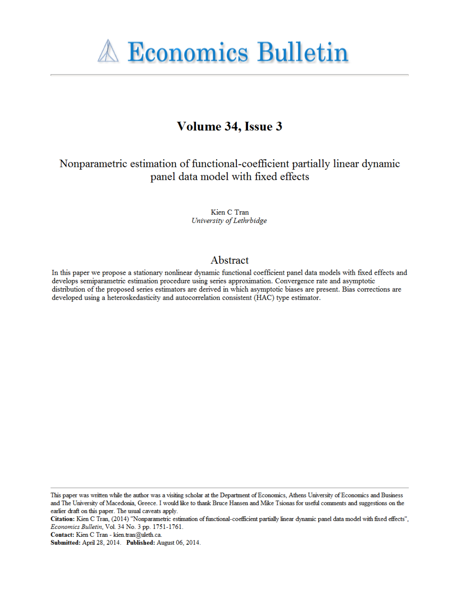

# Volume 34, Issue 3

Nonparametric estimation of functional-coefficient partially linear dynamic panel data model with fixed effects

> Kien C Tran University of Lethrbidge

# Abstract

In this paper we propose a stationary nonlinear dynamic functional coefficient panel data models with fixed effects and develops semiparametric estimation procedure using series approximation. Convergence rate and asymptotic distribution of the proposed series estimators are derived in which asymptotic biases are present. Bias corrections are developed using a heteroskedasticity and autocorrelation consistent (HAC) type estimator.

This paper was written while the author was a visiting scholar at the Department of Economics, Athens University of Economics and Business and The University of Macedonia, Greece. I would like to thank Bruce Hansen and Mike Tsionas for useful comments and suggestions on the earlier draft on this paper. The usual caveats apply.

Citation: Kien C Tran, (2014) "Nonparametric estimation of functional-coefficient partially linear dynamic panel data model with fixed effects", Economics Bulletin, Vol. 34 No. 3 pp. 1751-1761.

Contact: Kien C Tran - kien.tran@uleth.ca.

Submitted: April 28, 2014. Published: August 06, 2014.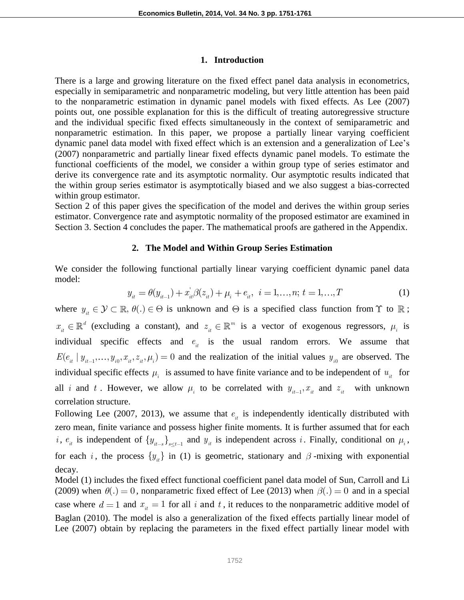## **1. Introduction**

There is a large and growing literature on the fixed effect panel data analysis in econometrics, especially in semiparametric and nonparametric modeling, but very little attention has been paid to the nonparametric estimation in dynamic panel models with fixed effects. As Lee (2007) points out, one possible explanation for this is the difficult of treating autoregressive structure and the individual specific fixed effects simultaneously in the context of semiparametric and nonparametric estimation. In this paper, we propose a partially linear varying coefficient dynamic panel data model with fixed effect which is an extension and a generalization of Lee's (2007) nonparametric and partially linear fixed effects dynamic panel models. To estimate the functional coefficients of the model, we consider a within group type of series estimator and derive its convergence rate and its asymptotic normality. Our asymptotic results indicated that the within group series estimator is asymptotically biased and we also suggest a bias-corrected within group estimator.

Section 2 of this paper gives the specification of the model and derives the within group series estimator. Convergence rate and asymptotic normality of the proposed estimator are examined in Section 3. Section 4 concludes the paper. The mathematical proofs are gathered in the Appendix.

# **2. The Model and Within Group Series Estimation**

We consider the following functional partially linear varying coefficient dynamic panel data model:<br>  $y_{it} = \theta(y_{it-1}) + x_{it}^{\dagger} \beta(z_{it}) + \mu_i + e_{it}, \ i = 1, ..., n; t = 1, ..., T$  (1) model:

$$
y_{it} = \theta(y_{it-1}) + x_{it}^{\dagger}\beta(z_{it}) + \mu_i + e_{it}, \ \ i = 1, ..., n; \ t = 1, ..., T \tag{1}
$$

where  $y_{it} \in \mathcal{Y} \subset \mathbb{R}$ ,  $\theta(.) \in \Theta$  is unknown and  $\Theta$  is a specified class function from  $\Upsilon$  to  $\mathbb{R}$ ;  $x_{it} \in \mathbb{R}^d$  (excluding a constant), and  $z_{it} \in \mathbb{R}^m$  is a vector of exogenous regressors,  $\mu_i$  is individual specific effects and  $e_{it}$  is the usual random errors. We assume that  $E(e_{it} | y_{it-1},..., y_{i0}, x_{it}, z_{it}, \mu_i) = 0$  and the realization of the initial values  $y_{i0}$  are observed. The individual specific effects  $\mu_i$  is assumed to have finite variance and to be independent of  $u_{it}$  for all *i* and *t*. However, we allow  $\mu_i$  to be correlated with  $y_{it-1}$ ,  $x_{it}$  and  $z_{it}$  with unknown correlation structure.

Following Lee (2007, 2013), we assume that  $e_{it}$  is independently identically distributed with zero mean, finite variance and possess higher finite moments. It is further assumed that for each *i*,  $e_{it}$  is independent of  $\{y_{it-s}\}_{s \le t-1}$  and  $y_{it}$  is independent across *i*. Finally, conditional on  $\mu_i$ , for each *i*, the process  $\{y_{it}\}\$ in (1) is geometric, stationary and  $\beta$ -mixing with exponential decay.

Model (1) includes the fixed effect functional coefficient panel data model of Sun, Carroll and Li (2009) when  $\theta(.) = 0$ , nonparametric fixed effect of Lee (2013) when  $\beta(.) = 0$  and in a special case where  $d = 1$  and  $x_{it} = 1$  for all i and t, it reduces to the nonparametric additive model of Baglan (2010). The model is also a generalization of the fixed effects partially linear model of Lee (2007) obtain by replacing the parameters in the fixed effect partially linear model with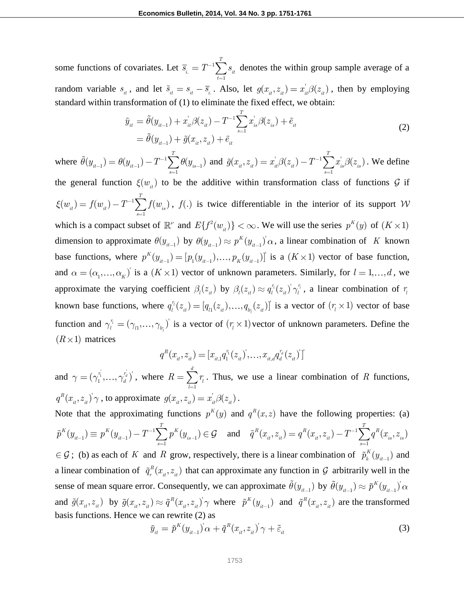some functions of covariates. Let  $\overline{s}_i = T^{-1}$  $\sum_{t=1}$ *T i*.  $\leftarrow$  *t*  $\sum_{t=1}^{t}$  $\overline{s}_i = T^{-1} \sum s_{ij}$  denotes the within group sample average of a random variable  $s_{it}$ , and let  $\tilde{s}_{it} = s_{it} - \overline{s}_{i}$ . Also, let  $g(x_{it}, z_{it}) = x_{it}$  $g(x_{it}, z_{it}) = x_{it}^{'} \beta(z_{it})$ , then by employing standard within transformation of (1) to eliminate the fixed effect, we obtain:

\n The system of (1) to eliminate the fixed effect, we obtain:\n 
$$
\tilde{y}_{it} = \tilde{\theta}(y_{it-1}) + x_{it}^{\dagger} \beta(z_{it}) - T^{-1} \sum_{s=1}^{T} x_{is}^{\dagger} \beta(z_{is}) + \tilde{e}_{it}
$$
\n
$$
= \tilde{\theta}(y_{it-1}) + \tilde{g}(x_{it}, z_{it}) + \tilde{e}_{it}
$$
\n

where  $\tilde{\theta}(y_{i t-1}) = \theta(y_{i t-1}) - T^{-1} \sum_{s=1}^{T} \theta(y_{i s-1})$  $f(y_{it-1}) = \theta(y_{it-1}) - T^{-1} \sum_{s=1}^{T} \theta(y_{is-1})$  and  $\tilde{g}(x_{it}, z_{it}) = x_{it}^{'} \beta(z_{it}) - T^{-1} \sum_{s=1}^{T} x_{it}^{'}$  $\tilde{g}(x_{_{it}},z_{_{it}})=x_{it}^{'}\beta(z_{_{it}})-T^{-1}\displaystyle\sum_{s=1}^{T}x_{is}^{'}\beta(z_{is})$  . We define

the general function  $\xi(w_{it})$  to be the additive within transformation class of functions  $\mathcal G$  if 1 1  $\mathcal{L}(w_{it}) = f(w_{it}) - T^{-1} \sum^{T} f(w_{is})$  $f_{it}$ ) =  $f(w_{it}) - T^{-1} \sum_{s=1} f(w_{is})$  $w_{it} = f(w_{it}) - T^{-1} \sum_{i=1}^{T} f(w_{it})$ ,  $f(.)$  is twice differentiable in the interior of its support W which is a compact subset of  $\mathbb{R}^{\nu}$  and  $E\{f^{2}(w_{i})\} < \infty$ . We will use the series  $p^{K}(y)$  of  $(K \times 1)$ dimension to approximate  $\theta(y_{i t-1})$  by  $\theta(y_{i t-1}) \approx p^{K}(y_{i t-1})$  $h(y_{it-1}) \approx p^{K}(y_{it-1})' \alpha$ , a linear combination of K known base functions, where  $p^{K}(y_{n-1}) = [p_{1}(y_{n-1}),...,p_{K}(y_{n-1})]$  $p^{K}(y_{i_{t-1}}) = [p_{1}(y_{i_{t-1}}),...,p_{K}(y_{i_{t-1}})]'$  is a  $(K \times 1)$  vector of base function, and  $\alpha = (\alpha_1, ..., \alpha_K)$  is a  $(K \times 1)$  vector of unknown parameters. Similarly, for  $l = 1, ..., d$ , we approximate the varying coefficient  $\beta_i(z_i)$  by  $\beta_i(z_i) \approx q_i^{\eta_i}(z_i) \gamma_i^{\eta_i}$ , a linear combination of  $\eta_i$ known base functions, where  $q_l^{r_l}(z_{it}) = [q_{l_1}(z_{it}), ..., q_{l_{r_l}}(z_{it})]$ <sup>'</sup>  $q_l^r(z_{it}) = [q_{l1}(z_{it}),...,q_{l_{r_l}}(z_{it})]$  is a vector of  $(r_l \times 1)$  vector of base function and  $\gamma_l^{r_l} = (\gamma_{l_1}, \dots, \gamma_{l_r})^T$ *r*  $\gamma_l^{\eta} = (\gamma_{l1}, \dots, \gamma_{l_r})'$  is a vector of  $(r_l \times 1)$  vector of unknown parameters. Define the  $(R \times 1)$  matrices

$$
q^{R}(x_{it}, z_{it}) = [x_{it,1}q_{1}^{r_{1}}(z_{it})^{'},..., x_{it,d}q_{d}^{r_{d}}(z_{it})^{'}]
$$

and  $\gamma = (\gamma_1^{\vec{r_1}}, \ldots, \gamma_d^{\vec{r_d}})'$  $\binom{r_d}{d}$ , where 1  $\sum_{l=1}^{\prime}$  $R = \sum_{i=1}^{n} r_i$ . Thus, we use a linear combination of R functions,  $q^R(x_{it}, z_{it}) \gamma$ , to approximate  $g(x_{it}, z_{it}) = x_{it}$  $g(x_{\scriptscriptstyle it}, z_{\scriptscriptstyle it}) = x_{\scriptscriptstyle it}^{'} \beta(z_{\scriptscriptstyle it})\,.$ 

Note that the approximating functions  $p^{K}(y)$  and  $q^{R}(x, z)$  have the following properties: (a) Le that the approximating functions<br>  $(y_{it-1}) \equiv p^{K}(y_{it-1}) - T^{-1} \sum_{s=1}^{T} p^{K}(y_{is-1})$  $J^K(u) = n^K(u) - T^{-1} \sum_{k=1}^{T} n^K$ Note that the approximating functions  $p(y)$  and  $q(x, z)$  have the following  $\tilde{p}^{K}(y_{i}) \equiv p^{K}(y_{i+1}) - T^{-1} \sum_{s=1}^{T} p^{K}(y_{i-s-1}) \in G$  and  $\tilde{q}^{K}(x_{i}, z_{i}) = q^{K}(x_{i}, z_{i}) - T^{-1}$  $f(x_i, z_j)$  have the following properties. (a)<br>  $f(x_i, z_{ii}) = q^R(x_{ii}, z_{ii}) - T^{-1} \sum_{s=1}^T q^R(x_{is}, z_{is})$  $R(r \mid z) = a^R(r \mid z) = T^{-1} \sum_{k=1}^{T} a^k$ *i q*<sup>*R*</sup>(*x<sub>it</sub>*, *z*<sub>it</sub>) = *q*<sup>*R*</sup>(*x<sub>it</sub>*, *z*<sub>it</sub>) - *T*<sup>-1</sup> $\sum_{s=1}^{T}$ *q*<sup>*R*</sup>(*x*<sub>is</sub>, *z*<sub>is</sub> ; (b) as each of K and R grow, respectively, there is a linear combination of  $\tilde{p}_k^{K}(y_{n-1})$  and a linear combination of  $\tilde{q}_r^R(x_i, z_i)$  that can approximate any function in  $\mathcal G$  arbitrarily well in the sense of mean square error. Consequently, we can approximate  $\theta(y_{i t-1})$  by  $\tilde{\theta}(y_{i t-1}) \approx \tilde{p}^K(y_{i t-1})$  $\tilde{p}^{\mathit{K}}(y_{_{it-1}}) \approx \tilde{p}^{\mathit{K}}(y_{_{it-1}})^{\mathit{K}}$ and  $\tilde{g}(x_{it}, z_{it})$  by  $\tilde{g}(x_{it}, z_{it}) \approx \tilde{q}^R(x_{it}, z_{it})$  $\tilde{g}(x_{it}, z_{it}) \approx \tilde{q}^R(x_{it}, z_{it}) \gamma$  where  $\tilde{p}^K(y_{it-1})$  and  $\tilde{q}^R(x_{it}, z_{it})$  are the transformed basis functions. Hence we can rewrite (2) as<br>  $\tilde{y}_{it} = \tilde{p}^K(y_{it-1})^t \alpha + \tilde{q}^R(x_{it}, z_{it})^t$ 

$$
\tilde{y}_{it} = \tilde{p}^{K}(y_{it-1}) \alpha + \tilde{q}^{R}(x_{it}, z_{it}) \gamma + \tilde{\varepsilon}_{it}
$$
\n(3)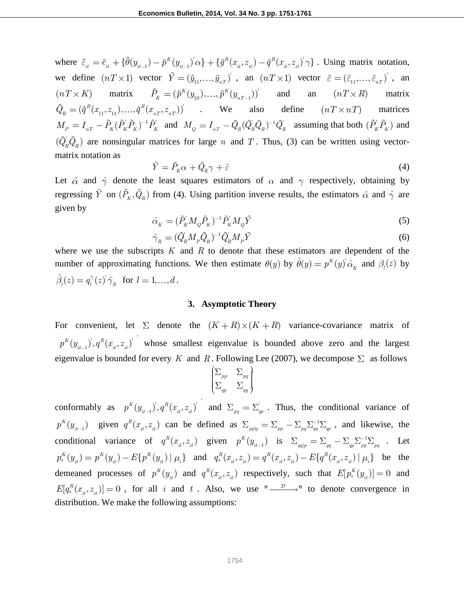where  $\tilde{\varepsilon}_u = \tilde{e}_u + {\{\tilde{\theta}(y_{u+1}) - \tilde{p}^K(y_{u+1})' \alpha\}} + {\{\tilde{g}^R(x_u, z_u) - \tilde{q}^R(x_u, z_u)\}}$  $\begin{aligned} \tilde{H}_{it} = \tilde{e}_{it} + \{\tilde{\theta}(y_{it-1}) - \tilde{p}^K(y_{it-1})'\alpha\} + \{\tilde{g}^R(x_{it},z_{it}) - \tilde{q}^R(x_{it},z_{it})'\gamma\} \,. \end{aligned}$  Using matrix notation, we define  $(nT \times 1)$  vector  $\tilde{Y} = (\tilde{y}_{11},...,\tilde{y}_{nT})'$ , an  $(nT \times 1)$  vector  $\tilde{\varepsilon} = (\tilde{\varepsilon}_{11},...,\tilde{\varepsilon}_{nT})'$ , an  $(nT \times K)$  matrix  $\tilde{P}_K = (\tilde{p}^K(y_{10}), \ldots, \tilde{p}^K(y_{n-1}))^T$  $\tilde{P}_K = (\tilde{p}^K(y_{10}), ..., \tilde{p}^K(y_{nT-1}))'$  and an  $(nT \times R)$ matrix '  $\tilde{Q}_R = (\tilde{q}^R(x_{11}, z_{11}), ..., \tilde{q}^R(x_{nT}, z_{nT}))'$  We also define  $(nT \times nT)$ matrices  $M_p = I_{nT} - \tilde{P}_K(\tilde{P}_K^{\dagger} \tilde{P}_K^{\dagger})^{-1} \tilde{P}_K^{\dagger}$  and  $M_Q = I_{nT} - \tilde{Q}_R(\tilde{Q}_R^{\dagger} \tilde{Q}_R^{\dagger})^{-1} \tilde{Q}_R^{\dagger}$  assuming that both  $(\tilde{P}_K^{\dagger} \tilde{P}_K^{\dagger})$  and  $(\tilde{Q}_R^{\dagger} \tilde{Q}_R)$  are nonsingular matrices for large *n* and *T*. Thus, (3) can be written using vectormatrix notation as

$$
\tilde{Y} = \tilde{P}_{K}\alpha + \tilde{Q}_{R}\gamma + \tilde{\varepsilon}
$$
\n(4)

Let  $\hat{\alpha}$  and  $\hat{\gamma}$  denote the least squares estimators of  $\alpha$  and  $\gamma$  respectively, obtaining by regressing  $\hat{Y}$  on  $(P_K, Q_R)$  from (4). Using partition inverse results, the estimators  $\hat{\alpha}$  and  $\hat{\gamma}$  are given by

$$
\hat{\alpha}_K = (\tilde{P}_K^{\dagger} M_Q \tilde{P}_K)^{-1} \tilde{P}_K^{\dagger} M_Q \tilde{Y}
$$
\n(5)

$$
\hat{\gamma}_R = (\tilde{Q}_R' M_P \tilde{Q}_R)^{-1} \tilde{Q}_R' M_P \tilde{Y}
$$
\n(6)

where we use the subscripts  $K$  and  $R$  to denote that these estimators are dependent of the number of approximating functions. We then estimate  $\theta(y)$  by  $\hat{\theta}(y) = p^{K}(y)\hat{\alpha}$  $f(y) = p^{K}(y) \hat{\alpha}_{K}$  and  $\beta_{l}(z)$  by  $\hat{\beta}_l(z) = q_l^{r_l}(z) \hat{\gamma}_R \text{ for } l = 1, ..., d$ .

### **3. Asymptotic Theory**

For convenient, let  $\Sigma$  denote the  $(K+R) \times (K+R)$  variance-covariance matrix of  $a^R(x \gamma)$  $p^{K}(y_{it-1}), q^{R}(x_{it}, z_{it})$  whose smallest eigenvalue is bounded above zero and the largest eigenvalue is bounded for every K and R. Following Lee (2007), we decompose  $\Sigma$  as follows

$$
\begin{pmatrix}\n\Sigma_{pp} & \Sigma_{pq} \\
\Sigma_{qp} & \Sigma_{qq}\n\end{pmatrix}
$$

conformably as  $p^{K}(y_{u+1})$ ,  $q^{R}(x_{u}, z_{u})$  $p^{K}(y_{i t-1}), q^{R}(x_{i t}, z_{i t})$  and  $\Sigma_{pq} = \Sigma_{qp}$ . Thus, the conditional variance of  $p^{K}(y_{it-1})$  given  $q^{R}(x_{it}, z_{it})$  can be defined as  $\Sigma_{pp|q} = \Sigma_{pp} - \Sigma_{pq} \Sigma_{qq}^{-1} \Sigma_{qp}$ , and likewise, the conditional variance of  $q^R(x_{it}, z_{it})$  given  $p^K(y_{it-1})$  is  $\Sigma_{qq|p} = \Sigma_{qq} - \Sigma_{qp} \Sigma_{pp}^{-1} \Sigma_{pq}$ . Let conditional variance of  $q^{R}(x_{it}, z_{it})$  given  $p^{R}(y_{it-1})$  is  $\sum_{qq|p} = \sum_{qq} -\sum_{qp} \sum_{pp}^{-1} \sum_{pq}$ . Let  $p_{*}^{R}(y_{it}) = p^{K}(y_{it}) - E\{p^{K}(y_{it}) | \mu_{i}\}$  and  $q_{*}^{R}(x_{it}, z_{it}) = q^{R}(x_{it}, z_{it}) - E\{q^{R}(x_{it}, z_{it}) | \mu_{i}\}$  be the demeaned processes of  $p^{K}(y_{it})$  and  $q^{R}(x_{it}, z_{it})$  respectively, such that  $E[p_{*}^{K}(y_{it})] = 0$  and  $E[q_{*}^{R}(x_{it}, z_{it})] = 0$ , for all *i* and *t*. Also, we use  $" \longrightarrow"$  to denote convergence in distribution. We make the following assumptions: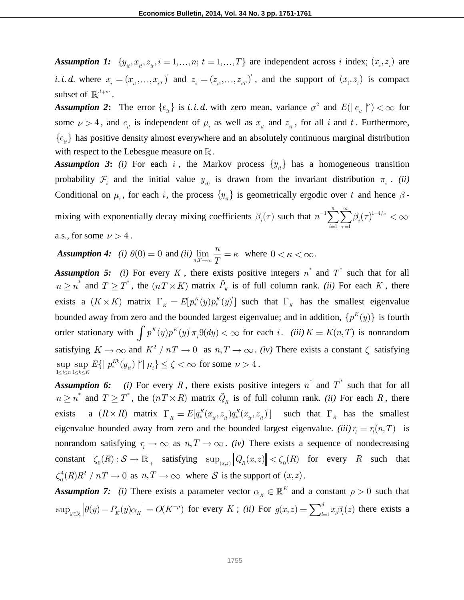*Assumption 1:*  $\{y_{i}, x_{i}, z_{i}, i = 1, ..., n; t = 1, ..., T\}$  are independent across *i* index;  $(x_{i}, z_{i})$  are *i. i. d.* where  $x_i = (x_{i1},...,x_{iT})'$  and  $z_i = (z_{i1},...,z_{iT})'$ , and the support of  $(x_i, z_i)$  is compact subset of  $\mathbb{R}^{d+m}$ .

Assumption 2: The error  $\{e_{it}\}\$ is *i.i.d.* with zero mean, variance  $\sigma^2$  and  $E(|e_{it}|^{\nu}) < \infty$  for some  $\nu > 4$ , and  $e_{it}$  is independent of  $\mu_i$  as well as  $x_{it}$  and  $z_{it}$ , for all i and t. Furthermore,  ${e_{i}}$  has positive density almost everywhere and an absolutely continuous marginal distribution with respect to the Lebesgue measure on  $\mathbb R$ .

Assumption 3: (i) For each i, the Markov process  $\{y_{ij}\}\$  has a homogeneous transition probability  $\mathcal{F}_i$  and the initial value  $y_{i0}$  is drawn from the invariant distribution  $\pi_i$ . *(ii)* Conditional on  $\mu_i$ , for each i, the process  $\{y_i\}$  is geometrically ergodic over t and hence  $\beta$ -

mixing with exponentially decay mixing coefficients  $\beta_i(\tau)$  such that  $n^{-1} \sum_{i=1}^n \sum_{j=1}^{\infty} \beta_i(\tau)^{1-4/j}$  $\frac{1}{\tau}$   $\frac{1}{\tau}$  $\sum_{i=1}^n\sum_{j=1}^\infty \beta_i(\tau)^j$  $\sum_{i=1}$   $\sum_{\tau=1}^{\infty}$ <sup> $\sum_{i}$ </sup> *n* a.s., for some  $\nu > 4$ .

*Assumption 4: (i)*  $\theta(0) = 0$  and *(ii)*  $\lim_{n,T \to \infty}$ *n T* where  $0 < \kappa < \infty$ .

Assumption 5: *(i)* For every K, there exists positive integers  $n^*$  and  $T^*$  such that for all  $n \geq n^*$  and  $T \geq T^*$ , the  $(nT \times K)$  matrix  $\tilde{P}_K$  is of full column rank. *(ii)* For each K, there exists a  $(K \times K)$  matrix  $\Gamma_{\kappa} = E[p_{*}^{K}(y)p_{*}^{K}(y)]$  $K = E[p_{*}^{K}(y)p_{*}^{K}(y)]$  such that  $\Gamma_{K}$  has the smallest eigenvalue bounded away from zero and the bounded largest eigenvalue; and in addition,  $\{p^{K}(y)\}\$ is fourth order stationary with  $\int p^{K}(y)p^{K}(y)^{V}$  $p^{K}(y)p^{K}(y)\pi_{i}^{0}(dy) < \infty$  for each *i*. *(iii)*  $K = K(n,T)$  is nonrandom satisfying  $K \to \infty$  and  $K^2 / nT \to 0$  as  $n, T \to \infty$ . *(iv)* There exists a constant  $\zeta$  satisfying satisfying  $K \to \infty$  and  $K^2 / nT \to 0$  as  $n, T \to \infty$ .<br>
sup sup  $E\{ | p_*^{Kk}(y_i) |^{\nu} | \mu_i \} \le \zeta < \infty$  for some  $\nu > 4$ .

Assumption 6: *(i)* For every R, there exists positive integers  $n^*$  and  $T^*$  such that for all  $n \geq n^*$  and  $T \geq T^*$ , the  $(nT \times R)$  matrix  $\tilde{Q}_R$  is of full column rank. *(ii)* For each R, there exists  $(R \times R)$  matrix  $\Gamma_p = E[q_*^R(x_{\alpha}, z_{\alpha}) q_*^R(x_{\alpha}, z_{\alpha})]$  $E_R = E[q_*^R(x_{it}, z_{it})q_*^R(x_{it}, z_{it})]$  such that  $\Gamma_R$  has the smallest eigenvalue bounded away from zero and the bounded largest eigenvalue. *(iii)*  $r_i = r_i(n, T)$  is nonrandom satisfying  $r_i \to \infty$  as  $n, T \to \infty$ . *(iv)* There exists a sequence of nondecreasing constant  $\zeta_0(R) : S \to \mathbb{R}_+$  satisfying  $\sup_{(x,z)} ||Q_R(x,z)|| < \zeta_0(R)$  for every R such that  $4$  ( D)  $D^2$  $n_0^4(R)R^2/nT \to 0$  as  $n,T \to \infty$  where S is the support of  $(x, z)$ .

Assumption 7: *(i)* There exists a parameter vector  $\alpha_{\kappa} \in \mathbb{R}^K$  $\mathbf{X}_K \in \mathbb{R}^K$  and a constant  $\rho > 0$  such that  $\sup_{y \in \mathcal{Y}_c} |\theta(y) - P_K(y)\alpha_K| = O(K^{-\rho})$  for every *K*; *(ii)* For  $g(x, z) = \sum_{l=1}^d x_l \beta_l(z)$  there exists a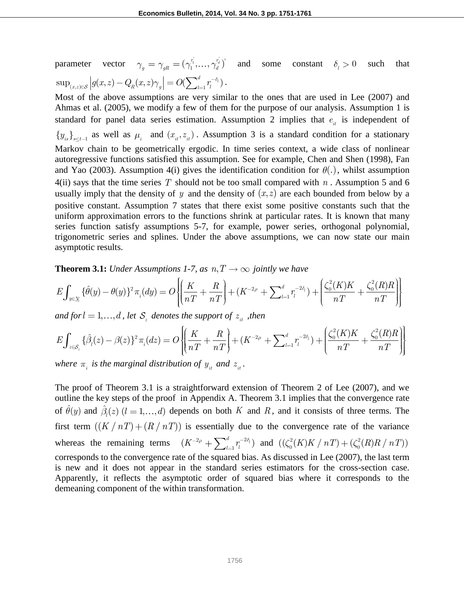parameter vector  $\gamma_g = \gamma_{gR} = (\gamma_1^{\vec{r_1}}, \dots, \gamma_d^{\vec{r_d}})^t$  $\delta_q = \gamma_{gR} = (\gamma_1^{r_1}, \dots, \gamma_d^{r_d})'$  and some constant  $\delta_l > 0$  such that  $\begin{split} \text{parameter} \quad & \text{vector} \quad \gamma_g = \gamma_{gR} = (\gamma_1^{\cdot 1}, \dots, \gamma_d^{\cdot d}) \ \text{sup}_{(x,z) \in \mathcal{S}} \left| g(x,z) - Q_R(x,z) \gamma_g \right| = O(\sum\nolimits_{l=1}^d r_l^{-\delta_l}) \end{split}$  $\begin{aligned} \text{meter} \quad & \text{vector} \quad \gamma_g = \gamma_{gR} = (\gamma_1^1,...,\gamma_d^d) \ \pi_{x,z) \in \mathcal{S}} \left| g(x,z) - Q_R(x,z) \gamma_g \right| = O(\sum\nolimits_{l=1}^d \eta_l^{-\delta_l}) \, . \end{aligned}$ 

Most of the above assumptions are very similar to the ones that are used in Lee (2007) and Ahmas et al. (2005), we modify a few of them for the purpose of our analysis. Assumption 1 is standard for panel data series estimation. Assumption 2 implies that  $e_{it}$  is independent of  ${y_{i_s}}_{s \leq t-1}$  as well as  $\mu_i$  and  $(x_i, z_i)$ . Assumption 3 is a standard condition for a stationary Markov chain to be geometrically ergodic. In time series context, a wide class of nonlinear autoregressive functions satisfied this assumption. See for example, Chen and Shen (1998), Fan and Yao (2003). Assumption 4(i) gives the identification condition for  $\theta(.)$ , whilst assumption  $4(ii)$  says that the time series T should not be too small compared with  $n$ . Assumption 5 and 6 usually imply that the density of  $y$  and the density of  $(x, z)$  are each bounded from below by a positive constant. Assumption 7 states that there exist some positive constants such that the uniform approximation errors to the functions shrink at particular rates. It is known that many series function satisfy assumptions 5-7, for example, power series, orthogonal polynomial, trigonometric series and splines. Under the above assumptions, we can now state our main asymptotic results.

asymptotic results.  
\n**Theorem 3.1:** Under Assumptions 1-7, as 
$$
n, T \to \infty
$$
 jointly we have  
\n
$$
E \int_{y \in \mathcal{Y}_c} {\hat{\theta}(y) - \theta(y)}^2 \pi_i(dy) = O\left\{ \left( \frac{K}{nT} + \frac{R}{nT} \right) + (K^{-2\rho} + \sum_{l=1}^d r_l^{-2\delta_l}) + \left( \frac{\zeta_0^2(K)K}{nT} + \frac{\zeta_0^2(R)R}{nT} \right) \right\}
$$
\nand for  $l = 1,...,d$ , let  $\mathcal{S}_z$  denotes the support of  $z_{it}$ , then  
\n
$$
E \int_{z \in \mathcal{S}} {\{\hat{\beta}_i(z) - \beta(z)\}^2 \pi_i(dz)} = O\left\{ \left( \frac{K}{nT} + \frac{R}{nT} \right) + (K^{-2\rho} + \sum_{l=1}^d r_l^{-2\delta_l}) + \left( \frac{\zeta_0^2(K)K}{nT} + \frac{\zeta_0^2(R)R}{nT} \right) \right\}
$$

$$
E\int_{y\in\mathcal{Y}_c} \left[\left(nT + nT\right)^{1+\left(\frac{1}{2}\right)} - \left(nT + nT\right)^{1+\left(\frac{1}{2}\right)} + \left(nT + nT\right)^{1+\left(\frac{1}{2}\right)} + nT\right]
$$
\n
$$
and for l = 1, ..., d, let S_z denotes the support of z_{it}, then
$$
\n
$$
E\int_{z\in\mathcal{S}_z} \left\{\hat{\beta}_l(z) - \beta(z)\right\}^2 \pi_i(dz) = O\left\{\left(\frac{K}{nT} + \frac{R}{nT}\right) + \left(K^{-2\rho} + \sum_{l=1}^d r_l^{-2\delta_l}\right) + \left(\frac{\zeta_0^2(K)K}{nT} + \frac{\zeta_0^2(R)R}{nT}\right)\right\}
$$

where  $\pi$ <sub>*i*</sub> is the marginal distribution of  $y$ <sub>*it</sub>* and  $z$ <sub>*it*</sub>.</sub>

The proof of Theorem 3.1 is a straightforward extension of Theorem 2 of Lee (2007), and we outline the key steps of the proof in Appendix A. Theorem 3.1 implies that the convergence rate of  $\hat{\theta}(y)$  and  $\hat{\beta}_i(z)$   $(l = 1,...,d)$  depends on both K and R, and it consists of three terms. The first term  $((K/nT) + (R/nT))$  is essentially due to the convergence rate of the variance whereas the remaining terms  $(K^{-2\rho} + \sum_{i=1}^{d} r_i^{-2\rho})$  $(K^{-2\rho} + \sum_{l=1}^d r_l^{-2\delta_l})$ *l* is essentiarly due to the convergence rate of the variance<br>  $K^{-2\rho} + \sum_{l=1}^{d} r_l^{-2\delta_l}$  and  $((\zeta_0^2(K)K/nT) + (\zeta_0^2(R)R/nT))$ corresponds to the convergence rate of the squared bias. As discussed in Lee (2007), the last term is new and it does not appear in the standard series estimators for the cross-section case. Apparently, it reflects the asymptotic order of squared bias where it corresponds to the demeaning component of the within transformation.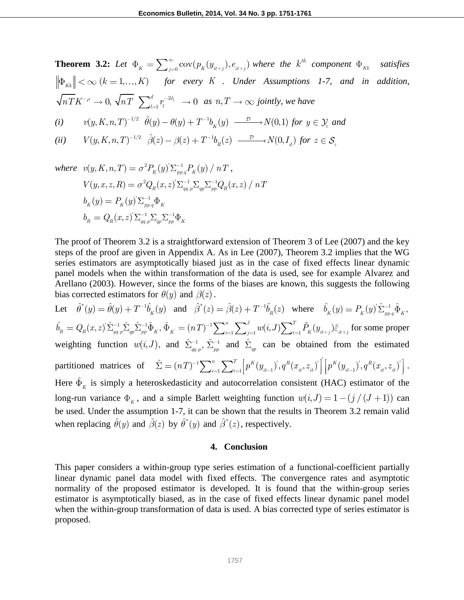**Theorem 3.2:** Let  $\Phi_K = \sum_{j=0}^{\infty} \text{cov}(p_K(y_{it+j}), e_{it+j})$  where the  $k^{th}$  component  $\Phi_{Kk}$ *satisfies*   $\| K_k \| < \infty$  ( $k = 1,...,K$ ) *for every* K *. Under Assumptions 1-7, and in addition,* 2  $0, \sqrt{nT} \sum_{l=1}^{d} r_l^{-2\delta_l} \rightarrow 0$ *d*  $\frac{d}{dt} \frac{d}{dt} \sum_{i=1}^{n} r_i^{-2\delta_i} \to 0 \text{ as } n, T \to \infty \text{ jointly, we have}$  $\sum_{l=1}^{l} \hat{\theta}(u) - \theta(u) + T^{-1}$  $\int_{-\infty}^{\infty} f(x,y) \, dy \, dx \sum_{l=1}^{d} \int_{l}^{\infty} f_l^{-2\delta_l} \to 0 \text{ as } n, T \to \infty \text{ jointly, } w \in H, K, n, T)^{-1/2} \hat{\theta}(y) - \theta(y) + T^{-1}b_K(y) \xrightarrow{\mathcal{D}} N(0,1)$ 

(i) 
$$
v(y, K, n, T)^{-1/2} \quad \hat{\theta}(y) - \theta(y) + T^{-1}b_K(y) \xrightarrow{\mathcal{D}} N(0,1)
$$
 for  $y \in \mathcal{Y}_c$  and  
\n(ii)  $V(u, K, n, T)^{-1/2} \quad \hat{\beta}(z) - \beta(z) + T^{-1}b_L(z) \xrightarrow{\mathcal{D}} N(0, I)$  for  $z \in \mathcal{S}$ 

(i) 
$$
v(y, K, n, T)^{-1/2} \hat{\theta}(y) - \theta(y) + T^{-1}b_K(y) \xrightarrow{\mathcal{D}} N(0,1)
$$
 for  $y \in \mathcal{Y}_c$  an  
\n(ii)  $V(y, K, n, T)^{-1/2} \hat{\beta}(z) - \beta(z) + T^{-1}b_K(z) \xrightarrow{\mathcal{D}} N(0, I_d)$  for  $z \in \mathcal{S}_z$ 

 $where \quad v(y, K, n, T) = \sigma^2 P_K(y) \sum_{pp,q}^{-1} P_K(y) / nT$ ,  $\frac{1}{2} \sum_{K} (g) \sum_{pp,q} \frac{1}{2} K(g) / \frac{1}{2}$ 

$$
v(y, K, n, T) = \sigma^2 P_K(y)^{\sum_{pp,q}} P_K(y) / nT,
$$
  
\n
$$
V(y, x, z, R) = \sigma^2 Q_R(x, z)^{\sum_{pq,p}} \sum_{qp} \sum_{pp}^{-1} Q_R(x, z) / nT
$$
  
\n
$$
b_K(y) = P_K(y)^{\sum_{pp,q}} \Phi_K
$$
  
\n
$$
b_R = Q_R(x, z)^{\sum_{pq,p}} \sum_{qp}^{-1} \Phi_K
$$

The proof of Theorem 3.2 is a straightforward extension of Theorem 3 of Lee (2007) and the key steps of the proof are given in Appendix A. As in Lee (2007), Theorem 3.2 implies that the WG series estimators are asymptotically biased just as in the case of fixed effects linear dynamic panel models when the within transformation of the data is used, see for example Alvarez and Arellano (2003). However, since the forms of the biases are known, this suggests the following bias corrected estimators for  $\theta(y)$  and  $\beta(z)$ .

Let  $\hat{\theta}^*(y) = \hat{\theta}(y) + T^{-1}\hat{b}_K(y)$  and  $\hat{\beta}^*(z) = \hat{\beta}(z) + T^{-1}\hat{b}_R(z)$  where  $\hat{b}_K(y) = P_K(y)\hat{\Sigma}_{pp}^{-1}$  $\hat{b}_{{\scriptscriptstyle{K}}}(y)=P_{{\scriptscriptstyle{K}}}(y)^{^{\cdot}}\hat{\Sigma}^{-1}_{pp.q}\hat{\Phi}_{{\scriptscriptstyle{K}}},$ ' 1 1 . ˆ ˆ ˆ ˆ ˆ ( , ) , *R R qq p qp pp K b Q x z* <sup>1</sup> 1 1 1 ˆ and  $\hat{\beta}^*(z) = \hat{\beta}(z) + T^{-1}\hat{b}_R(z)$  where  $\hat{b}_K(y) = P_K(y) \hat{\Sigma}_{pp,q}^{-1} \hat{\Phi}_K$ ,<br>  $K = (nT)^{-1} \sum_{i=1}^n \sum_{j=1}^J w(i, J) \sum_{t=1}^T \tilde{P}_K(y_{it+j}) \tilde{\epsilon}_{it+j}$  for some proper weighting function  $w(i, J)$ , and  $\hat{\Sigma}_{n=1}^{-1}$ ,  $\hat{\Sigma}_{n=1}^{-1}$  $\hat{\Sigma}_{qq,p}^{-1}, \hat{\Sigma}_{pp}^{-1}$  and  $\hat{\Sigma}_{qp}$  can be obtained from the estimated partitioned matrices of  $\hat{\Sigma} = (nT)^{-1} \sum_{i=1}^{n} \sum_{j=1}^{T} \left[ p^{K}(y_{i,j})^{T}, q^{R}(x_{i,j}, z_{j})^{T} \right]$  $\sum_{p}^{1} \sum_{p}^{n} \sum_{r}^{r} \left[ p^{K}(y_{n}) \right], q^{R}(x_{n}, z_{n}) \right] \left[ p^{K}(y_{n}) \right], q^{R}(x_{n}, z_{n}) \right]$  $\sum\nolimits_{t = 1}^T \Bigl[ p^{K} \bigl( y_{_{it - 1}} \bigr)^{'} , q^{R} \bigl( x_{_{it}} , z_{_{it}} \bigr)^{'} \Bigr] \Bigl[ p^{K} \bigl( y_{_{it - 1}}$ ˆ d  $\sum_{q_1,p_1}^{-1} \sum_{r=1}^{n} \sum_{q_2,p_1}^{r}$  and  $\sum_{q_1,p_1}^{n}$  can be obtained from the estimated  $(nT)^{-1} \sum_{i=1}^{n} \sum_{t=1}^{T} \left[ p^{K}(y_{i,t-1}), q^{R}(x_{it}, z_{it})' \right] \left[ p^{K}(y_{it-1}), q^{R}(x_{it}, z_{it})' \right].$ Here  $\hat{\Phi}_k$  is simply a heteroskedasticity and autocorrelation consistent (HAC) estimator of the long-run variance  $\Phi_K$ , and a simple Barlett weighting function  $w(i,J) = 1 - (j/(J+1))$  can be used. Under the assumption 1-7, it can be shown that the results in Theorem 3.2 remain valid when replacing  $\hat{\theta}(y)$  and  $\hat{\beta}(z)$  by  $\hat{\theta}^*(y)$  and  $\hat{\beta}^*(z)$ , respectively.

#### **4. Conclusion**

This paper considers a within-group type series estimation of a functional-coefficient partially linear dynamic panel data model with fixed effects. The convergence rates and asymptotic normality of the proposed estimator is developed. It is found that the within-group series estimator is asymptotically biased, as in the case of fixed effects linear dynamic panel model when the within-group transformation of data is used. A bias corrected type of series estimator is proposed.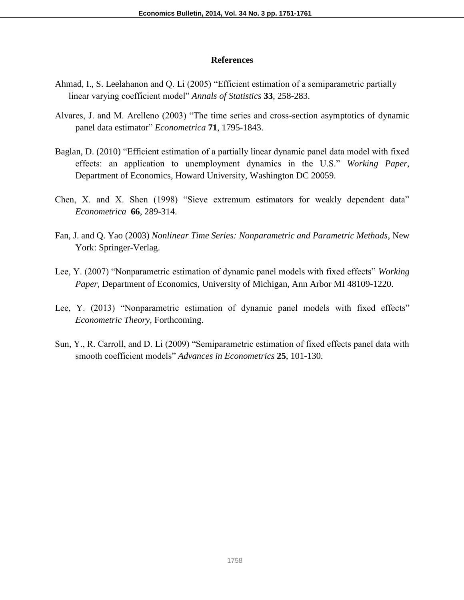## **References**

- Ahmad, I., S. Leelahanon and Q. Li (2005) "Efficient estimation of a semiparametric partially linear varying coefficient model" *Annals of Statistics* **33**, 258-283.
- Alvares, J. and M. Arelleno (2003) "The time series and cross-section asymptotics of dynamic panel data estimator" *Econometrica* **71**, 1795-1843.
- Baglan, D. (2010) "Efficient estimation of a partially linear dynamic panel data model with fixed effects: an application to unemployment dynamics in the U.S." *Working Paper*, Department of Economics, Howard University, Washington DC 20059.
- Chen, X. and X. Shen (1998) "Sieve extremum estimators for weakly dependent data" *Econometrica* **66**, 289-314.
- Fan, J. and Q. Yao (2003) *Nonlinear Time Series: Nonparametric and Parametric Methods*, New York: Springer-Verlag.
- Lee, Y. (2007) "Nonparametric estimation of dynamic panel models with fixed effects" *Working Paper*, Department of Economics, University of Michigan, Ann Arbor MI 48109-1220.
- Lee, Y. (2013) "Nonparametric estimation of dynamic panel models with fixed effects" *Econometric Theory,* Forthcoming.
- Sun, Y., R. Carroll, and D. Li (2009) "Semiparametric estimation of fixed effects panel data with smooth coefficient models" *Advances in Econometrics* **25**, 101-130.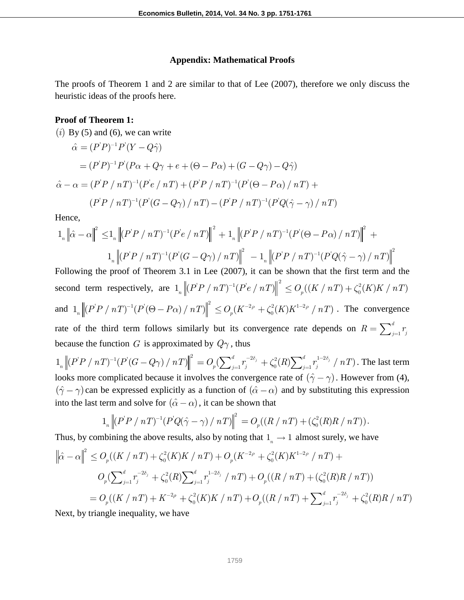#### **Appendix: Mathematical Proofs**

The proofs of Theorem 1 and 2 are similar to that of Lee (2007), therefore we only discuss the heuristic ideas of the proofs here.

#### **Proof of Theorem 1:**

Proof of Theorem 1:  
\n(i) By (5) and (6), we can write  
\n
$$
\hat{\alpha} = (P'P)^{-1}P'(Y - Q\hat{\gamma})
$$
\n
$$
= (P'P)^{-1}P'(P\alpha + Q\gamma + e + (\Theta - P\alpha) + (G - Q\gamma) - Q\hat{\gamma})
$$
\n
$$
\hat{\alpha} - \alpha = (P'P / nT)^{-1}(P'e / nT) + (P'P / nT)^{-1}(P'(\Theta - P\alpha) / nT) +
$$
\n
$$
(P'P / nT)^{-1}(P'(G - Q\gamma) / nT) - (P'P / nT)^{-1}(P'Q(\hat{\gamma} - \gamma) / nT)
$$

Hence,

$$
(P'P / nT)^{-1}(P'(G - Q\gamma) / nT) - (P'P / nT)^{-1}(P'Q(\hat{\gamma} - \gamma) / nT)
$$
  
Hence,  

$$
1_{n} \left\|\hat{\alpha} - \alpha\right\|^{2} \leq 1_{n} \left\|(P'P / nT)^{-1}(P'e / nT)\right\|^{2} + 1_{n} \left\|(P'P / nT)^{-1}(P'(\Theta - P\alpha) / nT)\right\|^{2} + 1_{n} \left\|(P'P / nT)^{-1}(P'(\Theta - Q\gamma) / nT)\right\|^{2}
$$
  

$$
1_{n} \left\|(P'P / nT)^{-1}(P'(G - Q\gamma) / nT)\right\|^{2} - 1_{n} \left\|(P'P / nT)^{-1}(P'Q(\hat{\gamma} - \gamma) / nT)\right\|^{2}
$$

Following the proof of Theorem 3.1 in Lee (2007), it can be shown that the first term and the second term respectively, are  $1$ <sub>*a*</sub>  $\left\| (P'P / nT)^{-1} (P'e / nT) \right\|^2$ 1 3.1 in Lee (2007), it can be shown that the first term and the  $1_n \|(P'P/nT)^{-1}(Pe/nT)\|^2 \leq O_p((K/nT) + \zeta_0^2(K)K/nT)$ and  $1 \parallel (P'P / nT)^{-1}(P'(\Theta - P\alpha) / nT) \parallel^2$ d term respectively, are  $\mathbb{1}_n ||(PP/nT)^{-1}(Pe/nT)|| \leq O_p$ <br>  $\mathbb{1}_n ||(P'P/nT)^{-1}(P'(\Theta - P\alpha)/nT)||^2 \leq O_p(K^{-2\rho} + \zeta_0^2(K)K^{1-2\rho})$ and term respectively, are  $1_{n} \left\| (P'P/nT)^{-1} (P'e/nT) \right\|^{2} \leq O_{p}((K/nT) + \zeta_{0}^{2}(K)K/nT)$ <br>  $1_{n} \left\| (P'P/nT)^{-1} (P'(\Theta - P\alpha)/nT) \right\|^{2} \leq O_{p}(K^{-2\rho} + \zeta_{0}^{2}(K)K^{1-2\rho}/nT)$ . The convergence rate of the third term follows similarly but its convergence rate depends on  $R = \sum_{j=1}^{n}$  $R = \sum_{j=1}^d r_j$ because the function G is approximated by  $Q\gamma$ , thus se the function G is approximated by  $Q\gamma$ , thus<br>  $\left\|P/nT\right\|^{1}(P'(G-Q\gamma)/nT)\right\|^{2} = O\left(\sum_{i=1}^{d} r_{i}^{-2\delta_{i}} + \zeta_{0}^{2}(R)\sum_{i=1}^{d} r_{i}^{1-2\delta_{i}}\right)$ rate of the third term follows similarly but its convergence rate depends on  $R = \sum_{j=1}^{d} r_j$ <br>because the function G is approximated by  $Q\gamma$ , thus<br> $1_n \left\| (P'P/nT)^{-1} (P'(G-Q\gamma)/nT) \right\|^2 = O_p(\sum_{j=1}^{d} r_j^{-2\delta_j} + \zeta_0^2(R) \sum_{j=1}^{d$ 

looks more complicated because it involves the convergence rate of  $(\hat{\gamma} - \gamma)$ . However from (4),  $(\hat{\gamma} - \gamma)$  can be expressed explicitly as a function of  $(\hat{\alpha} - \alpha)$  and by substituting this expression into the last term and solve for  $(\hat{\alpha} - \alpha)$ , it can be shown that  $1_n ||(P'P/nT)^{-1}(P'Q(\hat{\gamma} - \gamma)/nT)||^2 = O_p((R/nT) + (\zeta_0^2(R)$ into the last term and solve for  $(\hat{\alpha} - \alpha)$ , it can be shown that<br>  $1 \left\| (P'P/nT)^{-1}(P'Q(\hat{\gamma} - \gamma)/nT) \right\|^2 = O((R/nT) + (\zeta^2)$ 

$$
1_{n}\left\|(P'P\big/\,n\,T\big)^{-1}(P'Q(\hat{\gamma}-\gamma)\big/\,n\,T)\right\|^{2}=O_{p}((R\big/\,n\,T\big)+(\zeta_{0}^{2}(R)R\big/\,n\,T\big)).
$$

Thus, by combining the above results, also by noting that  $1_n \rightarrow 1$  almost surely, we have

$$
1_{n} \left\| (P'P / nT)^{-1} (P'Q(\hat{\gamma} - \gamma) / nT) \right\|^{2} = O_{p}((R / nT) + (\zeta_{0}^{2}(R)R / nT)).
$$
  
\nThus, by combining the above results, also by noting that  $1_{n} \to 1$  almost surely, we have  
\n
$$
\left\| \hat{\alpha} - \alpha \right\|^{2} \leq O_{p}((K / nT) + \zeta_{0}^{2}(K)K / nT) + O_{p}(K^{-2\rho} + \zeta_{0}^{2}(K)K^{1-2\rho} / nT) + O_{p}(\sum_{j=1}^{d} r_{j}^{-2\delta_{j}} + \zeta_{0}^{2}(R) \sum_{j=1}^{d} r_{j}^{1-2\delta_{j}} / nT) + O_{p}((R / nT) + (\zeta_{0}^{2}(R)R / nT))
$$
\n
$$
= O_{p}((K / nT) + K^{-2\rho} + \zeta_{0}^{2}(K)K / nT) + O_{p}((R / nT) + \sum_{j=1}^{d} r_{j}^{-2\delta_{j}} + \zeta_{0}^{2}(R)R / nT)
$$
\nNotably, the solution is

Next, by triangle inequality, we have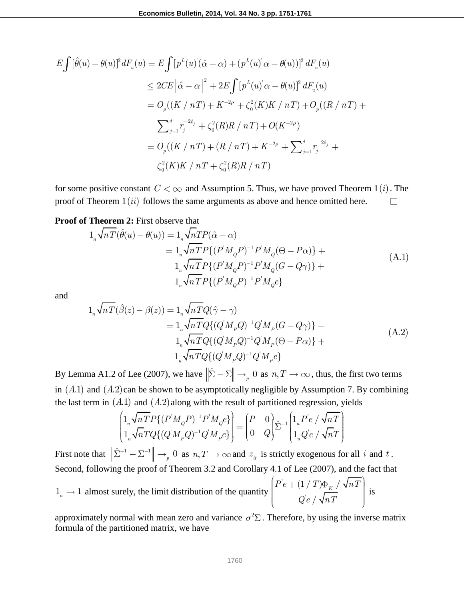$$
E\int [\hat{\theta}(u) - \theta(u)]^2 dF_u(u) = E\int [p^L(u) (\hat{\alpha} - \alpha) + (p^L(u) \alpha - \theta(u))]^2 dF_u(u)
$$
  
\n
$$
\leq 2CE \|\hat{\alpha} - \alpha\|^2 + 2E\int [p^L(u) \alpha - \theta(u)]^2 dF_u(u)
$$
  
\n
$$
= O_p((K/nT) + K^{-2\rho} + \zeta_0^2(K)K/nT) + O_p((R/nT) + \sum_{j=1}^d r_j^{-2\delta_j} + \zeta_0^2(R)R/nT) + O(K^{-2\rho})
$$
  
\n
$$
= O_p((K/nT) + (R/nT) + K^{-2\rho} + \sum_{j=1}^d r_j^{-2\delta_j} + \zeta_0^2(K)K/nT + \zeta_0^2(R)R/nT)
$$

for some positive constant  $C < \infty$  and Assumption 5. Thus, we have proved Theorem 1(*i*). The proof of Theorem  $1(ii)$  follows the same arguments as above and hence omitted here.  $\Box$ 

# **Proof of Theorem 2:** First observe that

$$
\begin{aligned}\n\mathbf{f} \text{ Theorem 2: First observe that} \\
1_n \sqrt{n} \hat{T}(\hat{\theta}(u) - \theta(u)) &= 1_n \sqrt{n} \hat{T} P(\hat{\alpha} - \alpha) \\
&= 1_n \sqrt{n} \hat{T} P \{ (P^{\dagger} M_Q P)^{-1} P^{\dagger} M_Q(\Theta - P \alpha) \} + \\
&1_n \sqrt{n} \hat{T} P \{ (P^{\dagger} M_Q P)^{-1} P^{\dagger} M_Q(G - Q \gamma) \} + \\
&1_n \sqrt{n} \hat{T} P \{ (P^{\dagger} M_Q P)^{-1} P^{\dagger} M_Q e \}\n\end{aligned} \tag{A.1}
$$

and

$$
1_{n} \sqrt{n} T P \{ (P M_{Q} P)^{-1} P M_{Q} e \}
$$
  
\n
$$
1_{n} \sqrt{n} T (\hat{\beta}(z) - \beta(z)) = 1_{n} \sqrt{n} T Q(\hat{\gamma} - \gamma)
$$
  
\n
$$
= 1_{n} \sqrt{n} T Q \{ (Q^{'} M_{P} Q)^{-1} Q^{'} M_{P} (G - Q \gamma) \} + 1_{n} \sqrt{n} T Q \{ (Q^{'} M_{P} Q)^{-1} Q^{'} M_{P} (\Theta - P \alpha) \} + 1_{n} \sqrt{n} T Q \{ (Q^{'} M_{P} Q)^{-1} Q^{'} M_{P} e \}
$$
\n(A.2)

By Lemma A1.2 of Lee (2007), we have  $\|\hat{\Sigma} - \Sigma\| \to_p 0$  as  $n, T \to \infty$ , thus, the first two terms in  $(A.1)$  and  $(A.2)$  can be shown to be asymptotically negligible by Assumption 7. By combining the last term in (A.1) and (A.2) along with the result of partitioned regression, yields<br>  $\left(1 \sqrt{nTP\{(P^tM, P)^{-1}P^tM, e\}}\right)$   $\left(P = 0\right)$   $\left(1 P^t e / \sqrt{nT}\right)$ 

1.1) and (A.2) along with the result of partitioned regression, 
$$
y
$$
  
\n
$$
\begin{pmatrix}\n1_n \sqrt{nTP}\{(P^t M_Q P)^{-1} P^t M_Q e\} \\
1_n \sqrt{nTP}\{(Q^t M_P Q)^{-1} Q^t M_P e\}\n\end{pmatrix} = \begin{pmatrix}\nP & 0 \\
0 & Q\n\end{pmatrix} \hat{\Sigma}^{-1} \begin{pmatrix}\n1_n P^t e / \sqrt{n} \\
1_n Q^t e / \sqrt{n}T\n\end{pmatrix}
$$

First note that  $\|\hat{\Sigma}^{-1} - \Sigma^{-1}\| \to_p 0$  as  $n, T \to \infty$  and  $z_{it}$  is strictly exogenous for all i and t. Second, following the proof of Theorem 3.2 and Corollary 4.1 of Lee (2007), and the fact that  $1_n \rightarrow 1$  almost surely, the limit distribution of the quantity ' '  $(1 / T) \Phi_{K} /$ /  $P^{'}e + (1 \mathbin{/} T)\Phi_{_K} \mathbin{/} \sqrt{nT}$  $Q'e / \sqrt{nT}$  is

approximately normal with mean zero and variance  $\sigma^2 \Sigma$ . Therefore, by using the inverse matrix formula of the partitioned matrix, we have